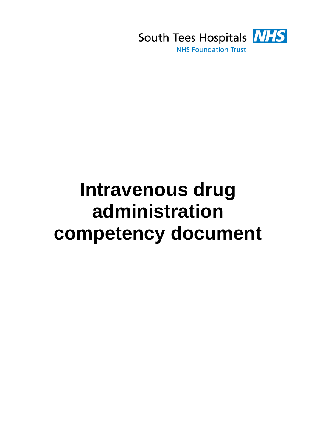

# **Intravenous drug administration competency document**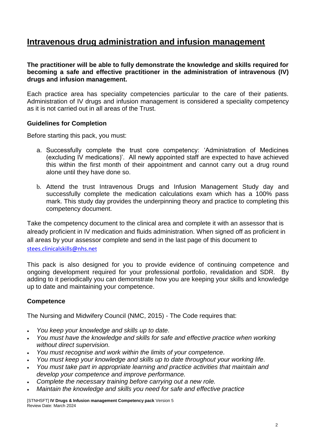# **Intravenous drug administration and infusion management**

## **The practitioner will be able to fully demonstrate the knowledge and skills required for becoming a safe and effective practitioner in the administration of intravenous (IV) drugs and infusion management.**

Each practice area has speciality competencies particular to the care of their patients. Administration of IV drugs and infusion management is considered a speciality competency as it is not carried out in all areas of the Trust.

### **Guidelines for Completion**

Before starting this pack, you must:

- a. Successfully complete the trust core competency: 'Administration of Medicines (excluding IV medications)'. All newly appointed staff are expected to have achieved this within the first month of their appointment and cannot carry out a drug round alone until they have done so.
- b. Attend the trust Intravenous Drugs and Infusion Management Study day and successfully complete the medication calculations exam which has a 100% pass mark. This study day provides the underpinning theory and practice to completing this competency document.

Take the competency document to the clinical area and complete it with an assessor that is already proficient in IV medication and fluids administration. When signed off as proficient in all areas by your assessor complete and send in the last page of this document to [stees.clinicalskills@nhs.ne](mailto:stees.clinicalskills@nhs.net)t

This pack is also designed for you to provide evidence of continuing competence and ongoing development required for your professional portfolio, revalidation and SDR. By adding to it periodically you can demonstrate how you are keeping your skills and knowledge up to date and maintaining your competence.

# **Competence**

The Nursing and Midwifery Council (NMC, 2015) - The Code requires that:

- *You keep your knowledge and skills up to date.*
- *You must have the knowledge and skills for safe and effective practice when working without direct supervision.*
- *You must recognise and work within the limits of your competence.*
- *You must keep your knowledge and skills up to date throughout your working life.*
- *You must take part in appropriate learning and practice activities that maintain and develop your competence and improve performance.*
- *Complete the necessary training before carrying out a new role.*
- *Maintain the knowledge and skills you need for safe and effective practice*

[STNHSFT] **IV Drugs & Infusion management Competency pack** Version 5 Review Date: March 2024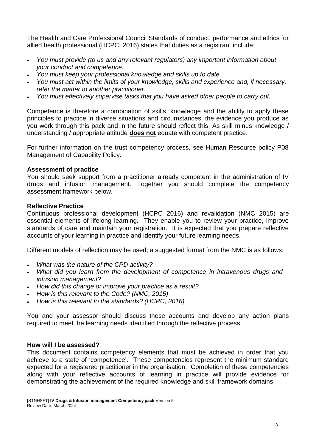The Health and Care Professional Council Standards of conduct, performance and ethics for allied health professional (HCPC, 2016) states that duties as a registrant include:

- *You must provide (to us and any relevant regulators) any important information about your conduct and competence.*
- *You must keep your professional knowledge and skills up to date.*
- *You must act within the limits of your knowledge, skills and experience and, if necessary, refer the matter to another practitioner.*
- *You must effectively supervise tasks that you have asked other people to carry out.*

Competence is therefore a combination of skills, knowledge and the ability to apply these principles to practice in diverse situations and circumstances, the evidence you produce as you work through this pack and in the future should reflect this. As skill minus knowledge / understanding / appropriate attitude **does not** equate with competent practice.

For further information on the trust competency process, see Human Resource policy P08 Management of Capability Policy.

### **Assessment of practice**

You should seek support from a practitioner already competent in the administration of IV drugs and infusion management. Together you should complete the competency assessment framework below.

#### **Reflective Practice**

Continuous professional development (HCPC 2016) and revalidation (NMC 2015) are essential elements of lifelong learning. They enable you to review your practice, improve standards of care and maintain your registration. It is expected that you prepare reflective accounts of your learning in practice and identify your future learning needs.

Different models of reflection may be used; a suggested format from the NMC is as follows:

- *What was the nature of the CPD activity?*
- *What did you learn from the development of competence in intravenous drugs and infusion management?*
- *How did this change or improve your practice as a result?*
- *How is this relevant to the Code? (NMC, 2015)*
- *How is this relevant to the standards? (HCPC, 2016)*

You and your assessor should discuss these accounts and develop any action plans required to meet the learning needs identified through the reflective process.

### **How will I be assessed?**

This document contains competency elements that must be achieved in order that you achieve to a state of 'competence'. These competencies represent the minimum standard expected for a registered practitioner in the organisation. Completion of these competencies along with your reflective accounts of learning in practice will provide evidence for demonstrating the achievement of the required knowledge and skill framework domains.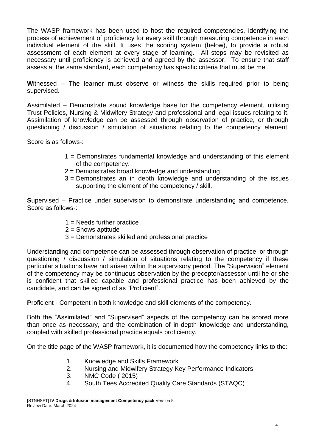The WASP framework has been used to host the required competencies, identifying the process of achievement of proficiency for every skill through measuring competence in each individual element of the skill. It uses the scoring system (below), to provide a robust assessment of each element at every stage of learning. All steps may be revisited as necessary until proficiency is achieved and agreed by the assessor. To ensure that staff assess at the same standard, each competency has specific criteria that must be met.

**W**itnessed – The learner must observe or witness the skills required prior to being supervised.

**A**ssimilated – Demonstrate sound knowledge base for the competency element, utilising Trust Policies, Nursing & Midwifery Strategy and professional and legal issues relating to it. Assimilation of knowledge can be assessed through observation of practice, or through questioning / discussion / simulation of situations relating to the competency element.

Score is as follows-:

- 1 = Demonstrates fundamental knowledge and understanding of this element of the competency.
- 2 = Demonstrates broad knowledge and understanding
- 3 = Demonstrates an in depth knowledge and understanding of the issues supporting the element of the competency / skill.

**S**upervised – Practice under supervision to demonstrate understanding and competence. Score as follows-:

- $1 =$  Needs further practice
- $2 =$ Shows aptitude
- 3 = Demonstrates skilled and professional practice

Understanding and competence can be assessed through observation of practice, or through questioning  $\overline{\phantom{a}}$  discussion  $\overline{\phantom{a}}$  simulation of situations relating to the competency if these particular situations have not arisen within the supervisory period. The "Supervision" element of the competency may be continuous observation by the preceptor/assessor until he or she is confident that skilled capable and professional practice has been achieved by the candidate, and can be signed of as "Proficient".

**P**roficient - Competent in both knowledge and skill elements of the competency.

Both the "Assimilated" and "Supervised" aspects of the competency can be scored more than once as necessary, and the combination of in-depth knowledge and understanding, coupled with skilled professional practice equals proficiency.

On the title page of the WASP framework, it is documented how the competency links to the:

- 1. Knowledge and Skills Framework
- 2. Nursing and Midwifery Strategy Key Performance Indicators
- 3. NMC Code ( 2015)
- 4. South Tees Accredited Quality Care Standards (STAQC)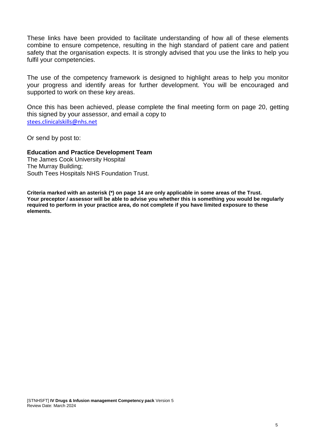These links have been provided to facilitate understanding of how all of these elements combine to ensure competence, resulting in the high standard of patient care and patient safety that the organisation expects. It is strongly advised that you use the links to help you fulfil your competencies.

The use of the competency framework is designed to highlight areas to help you monitor your progress and identify areas for further development. You will be encouraged and supported to work on these key areas.

Once this has been achieved, please complete the final meeting form on page 20, getting this signed by your assessor, and email a copy to [stees.clinicalskills@nhs.net](mailto:stees.clinicalskills@nhs.net)

Or send by post to:

#### **Education and Practice Development Team**

The James Cook University Hospital The Murray Building; South Tees Hospitals NHS Foundation Trust.

**Criteria marked with an asterisk (\*) on page 14 are only applicable in some areas of the Trust. Your preceptor / assessor will be able to advise you whether this is something you would be regularly required to perform in your practice area, do not complete if you have limited exposure to these elements.**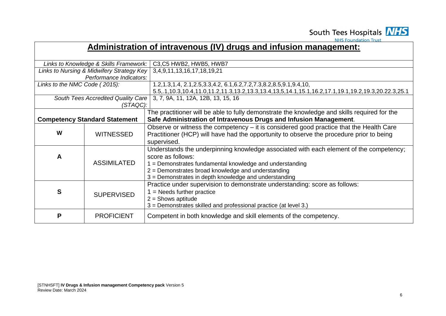

**NHS Foundation Trust** 

# **Administration of intravenous (IV) drugs and infusion management:**

|                               | Links to Knowledge & Skills Framework:    | C3, C5 HWB2, HWB5, HWB7                                                                                                |
|-------------------------------|-------------------------------------------|------------------------------------------------------------------------------------------------------------------------|
|                               | Links to Nursing & Midwifery Strategy Key | 3, 4, 9, 11, 13, 16, 17, 18, 19, 21                                                                                    |
|                               | Performance Indicators:                   |                                                                                                                        |
| Links to the NMC Code (2015): |                                           | 1.2, 1.3, 1.4, 2.1, 2.5, 3.3, 4.2, 6.1, 6.2, 7.2, 7.3, 8.2, 8.5, 9.1, 9.4, 10,                                         |
|                               |                                           | 5.5, .1, 10.3, 10.4, 11.0, 11.2, 11.3, 13.2, 13.3, 13.4, 13,5, 14.1, 15.1, 16.2, 17.1, 19.1, 19.2, 19.3, 20.22.3, 25.1 |
|                               | South Tees Accredited Quality Care        | 3, 7, 9A, 11, 12A, 12B, 13, 15, 16                                                                                     |
|                               | (STAQC):                                  |                                                                                                                        |
|                               |                                           | The practitioner will be able to fully demonstrate the knowledge and skills required for the                           |
|                               | <b>Competency Standard Statement</b>      | Safe Administration of Intravenous Drugs and Infusion Management.                                                      |
|                               |                                           | Observe or witness the competency $-$ it is considered good practice that the Health Care                              |
| W                             | <b>WITNESSED</b>                          | Practitioner (HCP) will have had the opportunity to observe the procedure prior to being                               |
|                               |                                           | supervised.                                                                                                            |
|                               |                                           | Understands the underpinning knowledge associated with each element of the competency;                                 |
| $\mathsf{A}$                  |                                           | score as follows:                                                                                                      |
|                               | <b>ASSIMILATED</b>                        | 1 = Demonstrates fundamental knowledge and understanding                                                               |
|                               |                                           | 2 = Demonstrates broad knowledge and understanding                                                                     |
|                               |                                           | 3 = Demonstrates in depth knowledge and understanding                                                                  |
|                               |                                           | Practice under supervision to demonstrate understanding: score as follows:                                             |
| S                             |                                           | $=$ Needs further practice                                                                                             |
|                               | <b>SUPERVISED</b>                         | $2 =$ Shows aptitude                                                                                                   |
|                               |                                           | 3 = Demonstrates skilled and professional practice (at level 3.)                                                       |
|                               |                                           |                                                                                                                        |
| P                             | <b>PROFICIENT</b>                         | Competent in both knowledge and skill elements of the competency.                                                      |
|                               |                                           |                                                                                                                        |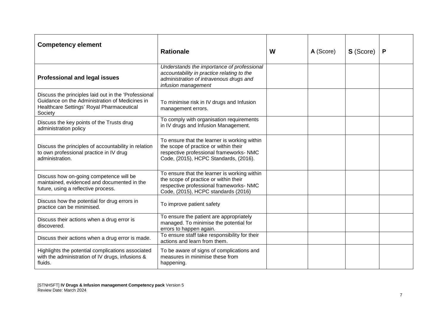| <b>Competency element</b>                                                                                                                                      | <b>Rationale</b>                                                                                                                                                          | W | A (Score) | S (Score) | P |
|----------------------------------------------------------------------------------------------------------------------------------------------------------------|---------------------------------------------------------------------------------------------------------------------------------------------------------------------------|---|-----------|-----------|---|
| <b>Professional and legal issues</b>                                                                                                                           | Understands the importance of professional<br>accountability in practice relating to the<br>administration of intravenous drugs and<br>infusion management                |   |           |           |   |
| Discuss the principles laid out in the 'Professional<br>Guidance on the Administration of Medicines in<br>Healthcare Settings' Royal Pharmaceutical<br>Society | To minimise risk in IV drugs and Infusion<br>management errors.                                                                                                           |   |           |           |   |
| Discuss the key points of the Trusts drug<br>administration policy                                                                                             | To comply with organisation requirements<br>in IV drugs and Infusion Management.                                                                                          |   |           |           |   |
| Discuss the principles of accountability in relation<br>to own professional practice in IV drug<br>administration.                                             | To ensure that the learner is working within<br>the scope of practice or within their<br>respective professional frameworks- NMC<br>Code, (2015), HCPC Standards, (2016). |   |           |           |   |
| Discuss how on-going competence will be<br>maintained, evidenced and documented in the<br>future, using a reflective process.                                  | To ensure that the learner is working within<br>the scope of practice or within their<br>respective professional frameworks- NMC<br>Code, (2015), HCPC standards (2016)   |   |           |           |   |
| Discuss how the potential for drug errors in<br>practice can be minimised.                                                                                     | To improve patient safety                                                                                                                                                 |   |           |           |   |
| Discuss their actions when a drug error is<br>discovered.                                                                                                      | To ensure the patient are appropriately<br>managed. To minimise the potential for<br>errors to happen again.                                                              |   |           |           |   |
| Discuss their actions when a drug error is made.                                                                                                               | To ensure staff take responsibility for their<br>actions and learn from them.                                                                                             |   |           |           |   |
| Highlights the potential complications associated<br>with the administration of IV drugs, infusions &<br>fluids.                                               | To be aware of signs of complications and<br>measures in minimise these from<br>happening.                                                                                |   |           |           |   |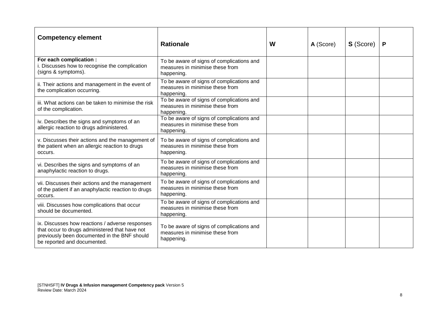| <b>Competency element</b>                                                                                                                                                        | <b>Rationale</b>                                                                           | W | A (Score) | <b>S</b> (Score) | P |
|----------------------------------------------------------------------------------------------------------------------------------------------------------------------------------|--------------------------------------------------------------------------------------------|---|-----------|------------------|---|
| For each complication :<br>i. Discusses how to recognise the complication<br>(signs & symptoms).                                                                                 | To be aware of signs of complications and<br>measures in minimise these from<br>happening. |   |           |                  |   |
| ii. Their actions and management in the event of<br>the complication occurring.                                                                                                  | To be aware of signs of complications and<br>measures in minimise these from<br>happening. |   |           |                  |   |
| iii. What actions can be taken to minimise the risk<br>of the complication.                                                                                                      | To be aware of signs of complications and<br>measures in minimise these from<br>happening. |   |           |                  |   |
| iv. Describes the signs and symptoms of an<br>allergic reaction to drugs administered.                                                                                           | To be aware of signs of complications and<br>measures in minimise these from<br>happening. |   |           |                  |   |
| v. Discusses their actions and the management of<br>the patient when an allergic reaction to drugs<br>occurs.                                                                    | To be aware of signs of complications and<br>measures in minimise these from<br>happening. |   |           |                  |   |
| vi. Describes the signs and symptoms of an<br>anaphylactic reaction to drugs.                                                                                                    | To be aware of signs of complications and<br>measures in minimise these from<br>happening. |   |           |                  |   |
| vii. Discusses their actions and the management<br>of the patient if an anaphylactic reaction to drugs<br>occurs.                                                                | To be aware of signs of complications and<br>measures in minimise these from<br>happening. |   |           |                  |   |
| viii. Discusses how complications that occur<br>should be documented.                                                                                                            | To be aware of signs of complications and<br>measures in minimise these from<br>happening. |   |           |                  |   |
| ix. Discusses how reactions / adverse responses<br>that occur to drugs administered that have not<br>previously been documented in the BNF should<br>be reported and documented. | To be aware of signs of complications and<br>measures in minimise these from<br>happening. |   |           |                  |   |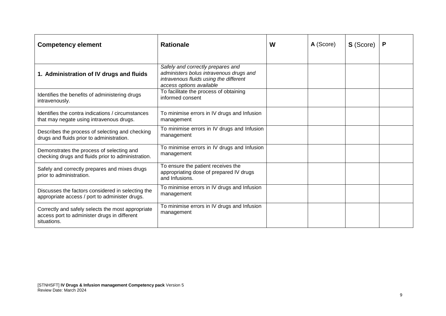| <b>Competency element</b>                                                                                        | <b>Rationale</b>                                                                                                       | W | A (Score) | S (Score) |  |
|------------------------------------------------------------------------------------------------------------------|------------------------------------------------------------------------------------------------------------------------|---|-----------|-----------|--|
| 1. Administration of IV drugs and fluids                                                                         | Safely and correctly prepares and<br>administers bolus intravenous drugs and<br>intravenous fluids using the different |   |           |           |  |
| Identifies the benefits of administering drugs<br>intravenously.                                                 | access options available<br>To facilitate the process of obtaining<br>informed consent                                 |   |           |           |  |
| Identifies the contra indications / circumstances<br>that may negate using intravenous drugs.                    | To minimise errors in IV drugs and Infusion<br>management                                                              |   |           |           |  |
| Describes the process of selecting and checking<br>drugs and fluids prior to administration.                     | To minimise errors in IV drugs and Infusion<br>management                                                              |   |           |           |  |
| Demonstrates the process of selecting and<br>checking drugs and fluids prior to administration.                  | To minimise errors in IV drugs and Infusion<br>management                                                              |   |           |           |  |
| Safely and correctly prepares and mixes drugs<br>prior to administration.                                        | To ensure the patient receives the<br>appropriating dose of prepared IV drugs<br>and Infusions.                        |   |           |           |  |
| Discusses the factors considered in selecting the<br>appropriate access / port to administer drugs.              | To minimise errors in IV drugs and Infusion<br>management                                                              |   |           |           |  |
| Correctly and safely selects the most appropriate<br>access port to administer drugs in different<br>situations. | To minimise errors in IV drugs and Infusion<br>management                                                              |   |           |           |  |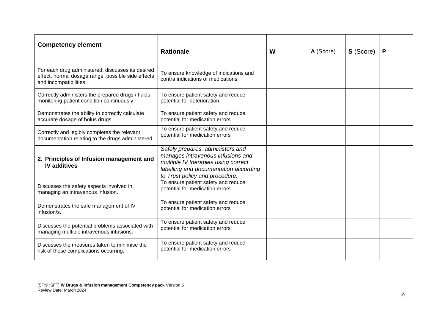| <b>Competency element</b>                                                                                                         | <b>Rationale</b>                                                                                                                                                                        | W | A (Score) | <b>S</b> (Score) | P |
|-----------------------------------------------------------------------------------------------------------------------------------|-----------------------------------------------------------------------------------------------------------------------------------------------------------------------------------------|---|-----------|------------------|---|
| For each drug administered, discusses its desired<br>effect, normal dosage range, possible side effects<br>and incompatibilities. | To ensure knowledge of indications and<br>contra indications of medications                                                                                                             |   |           |                  |   |
| Correctly administers the prepared drugs / fluids<br>monitoring patient condition continuously.                                   | To ensure patient safety and reduce<br>potential for deterioration                                                                                                                      |   |           |                  |   |
| Demonstrates the ability to correctly calculate<br>accurate dosage of bolus drugs.                                                | To ensure patient safety and reduce<br>potential for medication errors                                                                                                                  |   |           |                  |   |
| Correctly and legibly completes the relevant<br>documentation relating to the drugs administered.                                 | To ensure patient safety and reduce<br>potential for medication errors                                                                                                                  |   |           |                  |   |
| 2. Principles of Infusion management and<br><b>IV</b> additives                                                                   | Safely prepares, administers and<br>manages intravenous infusions and<br>multiple IV therapies using correct<br>labelling and documentation according<br>to Trust policy and procedure. |   |           |                  |   |
| Discusses the safety aspects involved in<br>managing an intravenous infusion.                                                     | To ensure patient safety and reduce<br>potential for medication errors                                                                                                                  |   |           |                  |   |
| Demonstrates the safe management of IV<br>infusion/s.                                                                             | To ensure patient safety and reduce<br>potential for medication errors                                                                                                                  |   |           |                  |   |
| Discusses the potential problems associated with<br>managing multiple intravenous infusions.                                      | To ensure patient safety and reduce<br>potential for medication errors                                                                                                                  |   |           |                  |   |
| Discusses the measures taken to minimise the<br>risk of these complications occurring.                                            | To ensure patient safety and reduce<br>potential for medication errors                                                                                                                  |   |           |                  |   |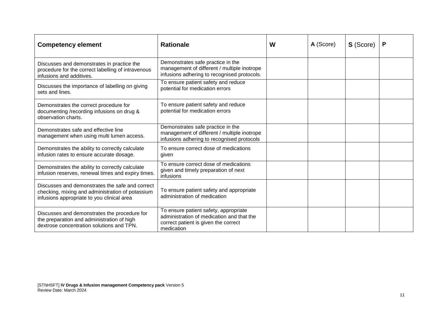| <b>Competency element</b>                                                                                                                         | <b>Rationale</b>                                                                                                                         | W | A (Score) | <b>S</b> (Score) |  |
|---------------------------------------------------------------------------------------------------------------------------------------------------|------------------------------------------------------------------------------------------------------------------------------------------|---|-----------|------------------|--|
| Discusses and demonstrates in practice the<br>procedure for the correct labelling of intravenous<br>infusions and additives.                      | Demonstrates safe practice in the<br>management of different / multiple inotrope<br>infusions adhering to recognised protocols.          |   |           |                  |  |
| Discusses the importance of labelling on giving<br>sets and lines.                                                                                | To ensure patient safety and reduce<br>potential for medication errors                                                                   |   |           |                  |  |
| Demonstrates the correct procedure for<br>documenting /recording infusions on drug &<br>observation charts.                                       | To ensure patient safety and reduce<br>potential for medication errors                                                                   |   |           |                  |  |
| Demonstrates safe and effective line<br>management when using multi lumen access.                                                                 | Demonstrates safe practice in the<br>management of different / multiple inotrope<br>infusions adhering to recognised protocols           |   |           |                  |  |
| Demonstrates the ability to correctly calculate<br>infusion rates to ensure accurate dosage.                                                      | To ensure correct dose of medications<br>given                                                                                           |   |           |                  |  |
| Demonstrates the ability to correctly calculate<br>infusion reserves, renewal times and expiry times.                                             | To ensure correct dose of medications<br>given and timely preparation of next<br>infusions                                               |   |           |                  |  |
| Discusses and demonstrates the safe and correct<br>checking, mixing and administration of potassium<br>infusions appropriate to you clinical area | To ensure patient safety and appropriate<br>administration of medication                                                                 |   |           |                  |  |
| Discusses and demonstrates the procedure for<br>the preparation and administration of high<br>dextrose concentration solutions and TPN.           | To ensure patient safety, appropriate<br>administration of medication and that the<br>correct patient is given the correct<br>medication |   |           |                  |  |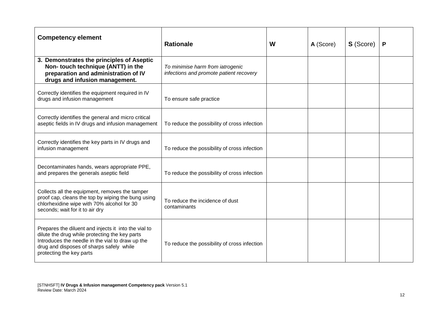| <b>Competency element</b>                                                                                                                                                                                                          | <b>Rationale</b>                                                            | W | A (Score) | <b>S</b> (Score) | P |
|------------------------------------------------------------------------------------------------------------------------------------------------------------------------------------------------------------------------------------|-----------------------------------------------------------------------------|---|-----------|------------------|---|
| 3. Demonstrates the principles of Aseptic<br>Non- touch technique (ANTT) in the<br>preparation and administration of IV<br>drugs and infusion management.                                                                          | To minimise harm from iatrogenic<br>infections and promote patient recovery |   |           |                  |   |
| Correctly identifies the equipment required in IV<br>drugs and infusion management                                                                                                                                                 | To ensure safe practice                                                     |   |           |                  |   |
| Correctly identifies the general and micro critical<br>aseptic fields in IV drugs and infusion management                                                                                                                          | To reduce the possibility of cross infection                                |   |           |                  |   |
| Correctly identifies the key parts in IV drugs and<br>infusion management                                                                                                                                                          | To reduce the possibility of cross infection                                |   |           |                  |   |
| Decontaminates hands, wears appropriate PPE,<br>and prepares the generals aseptic field                                                                                                                                            | To reduce the possibility of cross infection                                |   |           |                  |   |
| Collects all the equipment, removes the tamper<br>proof cap, cleans the top by wiping the bung using<br>chlorhexidine wipe with 70% alcohol for 30<br>seconds; wait for it to air dry                                              | To reduce the incidence of dust<br>contaminants                             |   |           |                  |   |
| Prepares the diluent and injects it into the vial to<br>dilute the drug while protecting the key parts<br>Introduces the needle in the vial to draw up the<br>drug and disposes of sharps safely while<br>protecting the key parts | To reduce the possibility of cross infection                                |   |           |                  |   |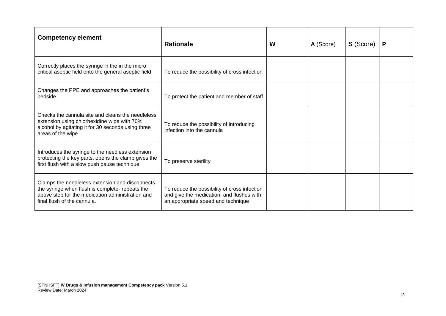| <b>Competency element</b>                                                                                                                                                             | <b>Rationale</b>                                                                                                               | W | A (Score) | <b>S</b> (Score) | P |
|---------------------------------------------------------------------------------------------------------------------------------------------------------------------------------------|--------------------------------------------------------------------------------------------------------------------------------|---|-----------|------------------|---|
| Correctly places the syringe in the in the micro<br>critical aseptic field onto the general aseptic field                                                                             | To reduce the possibility of cross infection                                                                                   |   |           |                  |   |
| Changes the PPE and approaches the patient's<br>bedside                                                                                                                               | To protect the patient and member of staff                                                                                     |   |           |                  |   |
| Checks the cannula site and cleans the needleless<br>extension using chlorhexidine wipe with 70%<br>alcohol by agitating it for 30 seconds using three<br>areas of the wipe           | To reduce the possibility of introducing<br>infection into the cannula                                                         |   |           |                  |   |
| Introduces the syringe to the needless extension<br>protecting the key parts, opens the clamp gives the<br>first flush with a slow push pause technique                               | To preserve sterility                                                                                                          |   |           |                  |   |
| Clamps the needleless extension and disconnects<br>the syringe when flush is complete- repeats the<br>above step for the medication administration and<br>final flush of the cannula. | To reduce the possibility of cross infection<br>and give the medication and flushes with<br>an appropriate speed and technique |   |           |                  |   |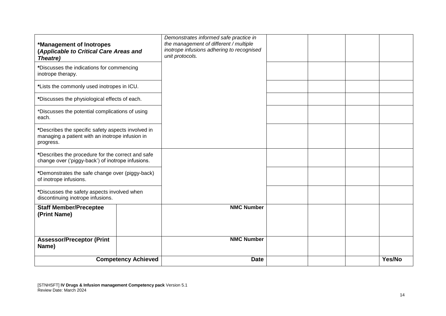| *Management of Inotropes<br>(Applicable to Critical Care Areas and<br>Theatre)                                     |                            | Demonstrates informed safe practice in<br>the management of different / multiple<br>inotrope infusions adhering to recognised<br>unit protocols. |  |        |
|--------------------------------------------------------------------------------------------------------------------|----------------------------|--------------------------------------------------------------------------------------------------------------------------------------------------|--|--------|
| *Discusses the indications for commencing<br>inotrope therapy.                                                     |                            |                                                                                                                                                  |  |        |
| *Lists the commonly used inotropes in ICU.                                                                         |                            |                                                                                                                                                  |  |        |
| *Discusses the physiological effects of each.                                                                      |                            |                                                                                                                                                  |  |        |
| *Discusses the potential complications of using<br>each.                                                           |                            |                                                                                                                                                  |  |        |
| *Describes the specific safety aspects involved in<br>managing a patient with an inotrope infusion in<br>progress. |                            |                                                                                                                                                  |  |        |
| *Describes the procedure for the correct and safe<br>change over ('piggy-back') of inotrope infusions.             |                            |                                                                                                                                                  |  |        |
| *Demonstrates the safe change over (piggy-back)<br>of inotrope infusions.                                          |                            |                                                                                                                                                  |  |        |
| *Discusses the safety aspects involved when<br>discontinuing inotrope infusions.                                   |                            |                                                                                                                                                  |  |        |
| <b>Staff Member/Preceptee</b><br>(Print Name)                                                                      |                            | <b>NMC Number</b>                                                                                                                                |  |        |
| <b>Assessor/Preceptor (Print</b><br>Name)                                                                          |                            | <b>NMC Number</b>                                                                                                                                |  |        |
|                                                                                                                    | <b>Competency Achieved</b> | <b>Date</b>                                                                                                                                      |  | Yes/No |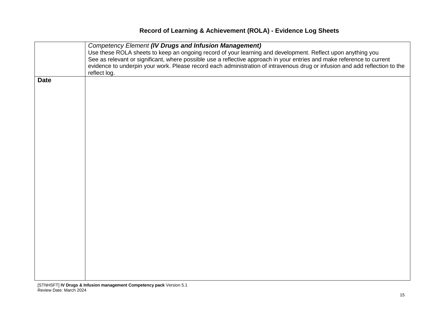# **Record of Learning & Achievement (ROLA) - Evidence Log Sheets**

|             | <b>Competency Element (IV Drugs and Infusion Management)</b>                                                                |
|-------------|-----------------------------------------------------------------------------------------------------------------------------|
|             | Use these ROLA sheets to keep an ongoing record of your learning and development. Reflect upon anything you                 |
|             | See as relevant or significant, where possible use a reflective approach in your entries and make reference to current      |
|             | evidence to underpin your work. Please record each administration of intravenous drug or infusion and add reflection to the |
|             | reflect log.                                                                                                                |
| <b>Date</b> |                                                                                                                             |
|             |                                                                                                                             |
|             |                                                                                                                             |
|             |                                                                                                                             |
|             |                                                                                                                             |
|             |                                                                                                                             |
|             |                                                                                                                             |
|             |                                                                                                                             |
|             |                                                                                                                             |
|             |                                                                                                                             |
|             |                                                                                                                             |
|             |                                                                                                                             |
|             |                                                                                                                             |
|             |                                                                                                                             |
|             |                                                                                                                             |
|             |                                                                                                                             |
|             |                                                                                                                             |
|             |                                                                                                                             |
|             |                                                                                                                             |
|             |                                                                                                                             |
|             |                                                                                                                             |
|             |                                                                                                                             |
|             |                                                                                                                             |
|             |                                                                                                                             |
|             |                                                                                                                             |
|             |                                                                                                                             |
|             |                                                                                                                             |
|             |                                                                                                                             |
|             |                                                                                                                             |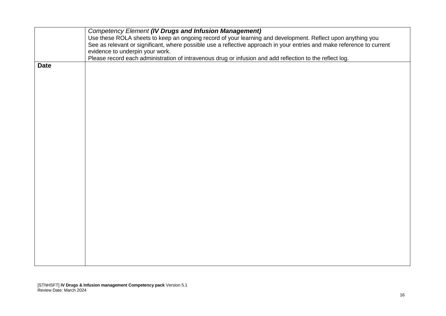|             | <b>Competency Element (IV Drugs and Infusion Management)</b>                                                           |
|-------------|------------------------------------------------------------------------------------------------------------------------|
|             | Use these ROLA sheets to keep an ongoing record of your learning and development. Reflect upon anything you            |
|             | See as relevant or significant, where possible use a reflective approach in your entries and make reference to current |
|             | evidence to underpin your work.                                                                                        |
|             | Please record each administration of intravenous drug or infusion and add reflection to the reflect log.               |
| <b>Date</b> |                                                                                                                        |
|             |                                                                                                                        |
|             |                                                                                                                        |
|             |                                                                                                                        |
|             |                                                                                                                        |
|             |                                                                                                                        |
|             |                                                                                                                        |
|             |                                                                                                                        |
|             |                                                                                                                        |
|             |                                                                                                                        |
|             |                                                                                                                        |
|             |                                                                                                                        |
|             |                                                                                                                        |
|             |                                                                                                                        |
|             |                                                                                                                        |
|             |                                                                                                                        |
|             |                                                                                                                        |
|             |                                                                                                                        |
|             |                                                                                                                        |
|             |                                                                                                                        |
|             |                                                                                                                        |
|             |                                                                                                                        |
|             |                                                                                                                        |
|             |                                                                                                                        |
|             |                                                                                                                        |
|             |                                                                                                                        |
|             |                                                                                                                        |
|             |                                                                                                                        |
|             |                                                                                                                        |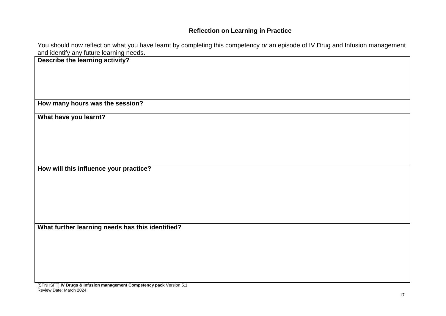# **Reflection on Learning in Practice**

You should now reflect on what you have learnt by completing this competency *or* an episode of IV Drug and Infusion management and identify any future learning needs.

| and ldentify any future learning needs.          |
|--------------------------------------------------|
| Describe the learning activity?                  |
|                                                  |
|                                                  |
|                                                  |
|                                                  |
|                                                  |
|                                                  |
| How many hours was the session?                  |
|                                                  |
|                                                  |
| What have you learnt?                            |
|                                                  |
|                                                  |
|                                                  |
|                                                  |
|                                                  |
|                                                  |
|                                                  |
| How will this influence your practice?           |
|                                                  |
|                                                  |
|                                                  |
|                                                  |
|                                                  |
|                                                  |
|                                                  |
|                                                  |
|                                                  |
| What further learning needs has this identified? |
|                                                  |
|                                                  |
|                                                  |
|                                                  |
|                                                  |
|                                                  |
|                                                  |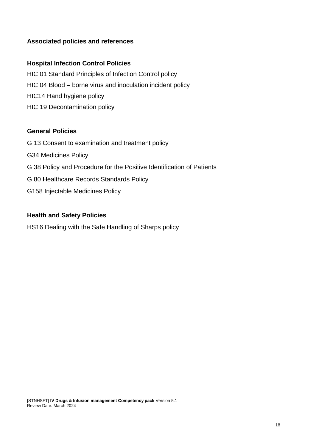# **Associated policies and references**

# **Hospital Infection Control Policies**

HIC 01 Standard Principles of Infection Control policy HIC 04 Blood – borne virus and inoculation incident policy HIC14 Hand hygiene policy HIC 19 Decontamination policy

### **General Policies**

G 13 Consent to examination and treatment policy G34 Medicines Policy G 38 Policy and Procedure for the Positive Identification of Patients G 80 Healthcare Records Standards Policy G158 Injectable Medicines Policy

## **Health and Safety Policies**

HS16 Dealing with the Safe Handling of Sharps policy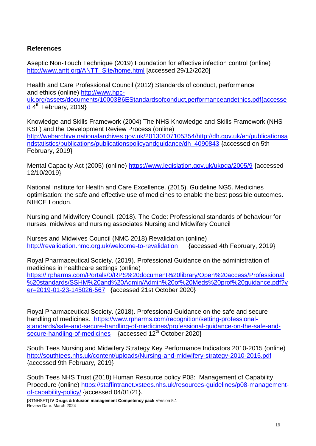# **References**

Aseptic Non-Touch Technique (2019) Foundation for effective infection control (online) [http://www.antt.org/ANTT\\_Site/home.html](http://www.antt.org/ANTT_Site/home.html) [accessed 29/12/2020]

Health and Care Professional Council (2012) Standards of conduct, performance and ethics (online) [http://www.hpc](http://www.hpc-uk.org/assets/documents/10003B6EStandardsofconduct,performanceandethics.pdf%7baccessed)[uk.org/assets/documents/10003B6EStandardsofconduct,performanceandethics.pdf{accesse](http://www.hpc-uk.org/assets/documents/10003B6EStandardsofconduct,performanceandethics.pdf%7baccessed) [d](http://www.hpc-uk.org/assets/documents/10003B6EStandardsofconduct,performanceandethics.pdf%7baccessed) 4<sup>th</sup> February, 2019}

Knowledge and Skills Framework (2004) The NHS Knowledge and Skills Framework (NHS KSF) and the Development Review Process (online) [http://webarchive.nationalarchives.gov.uk/20130107105354/http://dh.gov.uk/en/publicationsa](http://webarchive.nationalarchives.gov.uk/20130107105354/http:/dh.gov.uk/en/publicationsandstatistics/publications/publicationspolicyandguidance/dh_4090843) [ndstatistics/publications/publicationspolicyandguidance/dh\\_4090843](http://webarchive.nationalarchives.gov.uk/20130107105354/http:/dh.gov.uk/en/publicationsandstatistics/publications/publicationspolicyandguidance/dh_4090843) {accessed on 5th February, 2019}

Mental Capacity Act (2005) (online)<https://www.legislation.gov.uk/ukpga/2005/9> {accessed 12/10/2019}

National Institute for Health and Care Excellence. (2015). Guideline NG5. Medicines optimisation: the safe and effective use of medicines to enable the best possible outcomes. NIHCE London.

Nursing and Midwifery Council. (2018). The Code: Professional standards of behaviour for nurses, midwives and nursing associates Nursing and Midwifery Council

Nurses and Midwives Council (NMC 2018) Revalidation (online) [http://revalidation.nmc.org.uk/welcome-to-revalidation](http://revalidation.nmc.org.uk/welcome-to-revalidation%20%20%7baccessed) {accessed 4th February, 2019}

Royal Pharmaceutical Society. (2019). Professional Guidance on the administration of medicines in healthcare settings (online) [https://.rpharms.com/Portals/0/RPS%20document%20library/Open%20access/Professional](https://.rpharms.com/Portals/0/RPS%20document%20library/Open%20access/Professional%20standards/SSHM%20and%20Admin/Admin%20of%20Meds%20prof%20guidance.pdf?ver=2019-01-23-145026-567) [%20standards/SSHM%20and%20Admin/Admin%20of%20Meds%20prof%20guidance.pdf?v](https://.rpharms.com/Portals/0/RPS%20document%20library/Open%20access/Professional%20standards/SSHM%20and%20Admin/Admin%20of%20Meds%20prof%20guidance.pdf?ver=2019-01-23-145026-567) [er=2019-01-23-145026-567](https://.rpharms.com/Portals/0/RPS%20document%20library/Open%20access/Professional%20standards/SSHM%20and%20Admin/Admin%20of%20Meds%20prof%20guidance.pdf?ver=2019-01-23-145026-567) {accessed 21st October 2020}

Royal Pharmaceutical Society. (2018). Professional Guidance on the safe and secure handling of medicines. [https://www.rpharms.com/recognition/setting-professional](https://www.rpharms.com/recognition/setting-professional-standards/safe-and-secure-handling-of-medicines/professional-guidance-on-the-safe-and-secure-handling-of-medicines)[standards/safe-and-secure-handling-of-medicines/professional-guidance-on-the-safe-and](https://www.rpharms.com/recognition/setting-professional-standards/safe-and-secure-handling-of-medicines/professional-guidance-on-the-safe-and-secure-handling-of-medicines)[secure-handling-of-medicines](https://www.rpharms.com/recognition/setting-professional-standards/safe-and-secure-handling-of-medicines/professional-guidance-on-the-safe-and-secure-handling-of-medicines) {accessed 12<sup>th</sup> October 2020}

South Tees Nursing and Midwifery Strategy Key Performance Indicators 2010-2015 (online) <http://southtees.nhs.uk/content/uploads/Nursing-and-midwifery-strategy-2010-2015.pdf> {accessed 9th February, 2019}

South Tees NHS Trust (2018) Human Resource policy P08: Management of Capability Procedure (online) [https://staffintranet.xstees.nhs.uk/resources-guidelines/p08-management](https://staffintranet.xstees.nhs.uk/resources-guidelines/p08-management-of-capability-policy/)[of-capability-policy/](https://staffintranet.xstees.nhs.uk/resources-guidelines/p08-management-of-capability-policy/) {accessed 04/01/21}.

[STNHSFT] **IV Drugs & Infusion management Competency pack** Version 5.1 Review Date: March 2024